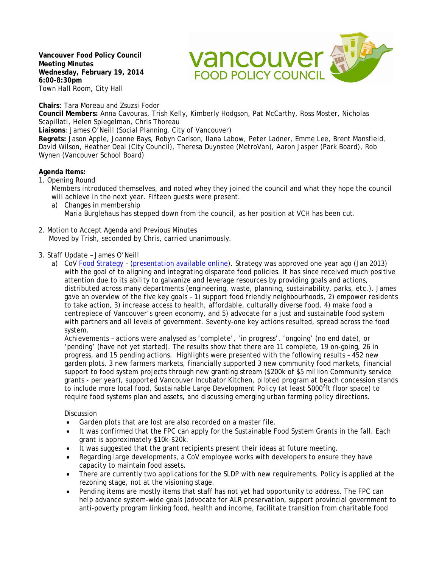**Vancouver Food Policy Council Meeting Minutes Wednesday, February 19, 2014 6:00-8:30pm** Town Hall Room, City Hall

**vancouver FOOD POLICY COUNCIL** 

**Chairs**: Tara Moreau and Zsuzsi Fodor

**Council Members:** Anna Cavouras, Trish Kelly, Kimberly Hodgson, Pat McCarthy, Ross Moster, Nicholas Scapillati, Helen Spiegelman, Chris Thoreau

**Liaisons**: James O'Neill (Social Planning, City of Vancouver)

**Regrets:** Jason Apple, Joanne Bays, Robyn Carlson, Ilana Labow, Peter Ladner, Emme Lee, Brent Mansfield, David Wilson, Heather Deal (City Council), Theresa Duynstee (MetroVan), Aaron Jasper (Park Board), Rob Wynen (Vancouver School Board)

# **Agenda Items:**

1. Opening Round

Members introduced themselves, and noted whey they joined the council and what they hope the council will achieve in the next year. Fifteen guests were present.

- a) Changes in membership Maria Burglehaus has stepped down from the council, as her position at VCH has been cut.
- 2. Motion to Accept Agenda and Previous Minutes Moved by Trish, seconded by Chris, carried unanimously.
- 3. Staff Update James O'Neill
	- a) CoV [Food Strategy](http://vancouver.ca/files/cov/vancouver-food-strategy-final.PDF)  (*[presentation available online](http://www.vancouverfoodpolicycouncil.ca/february-19-meeting-the-next-year/)*). Strategy was approved one year ago (Jan 2013) with the goal of to aligning and integrating disparate food policies. It has since received much positive attention due to its ability to galvanize and leverage resources by providing goals and actions, distributed across many departments (engineering, waste, planning, sustainability, parks, etc.). James gave an overview of the five key goals – 1) support food friendly neighbourhoods, 2) empower residents to take action, 3) increase access to health, affordable, culturally diverse food, 4) make food a centrepiece of Vancouver's green economy, and 5) advocate for a just and sustainable food system with partners and all levels of government. Seventy-one key actions resulted, spread across the food system.

Achievements – actions were analysed as 'complete', 'in progress', 'ongoing' (no end date), or 'pending' (have not yet started). The results show that there are 11 complete, 19 on-going, 26 in progress, and 15 pending actions. Highlights were presented with the following results – 452 new garden plots, 3 new farmers markets, financially supported 3 new community food markets, financial support to food system projects through new granting stream (\$200k of \$5 million Community service grants - per year), supported Vancouver Incubator Kitchen, piloted program at beach concession stands to include more local food, Sustainable Large Development Policy (at least 5000<sup>2</sup>ft floor space) to require food systems plan and assets, and discussing emerging urban farming policy directions.

# Discussion

- Garden plots that are lost are also recorded on a master file.
- It was confirmed that the FPC can apply for the Sustainable Food System Grants in the fall. Each grant is approximately \$10k-\$20k.
- It was suggested that the grant recipients present their ideas at future meeting.
- Regarding large developments, a CoV employee works with developers to ensure they have capacity to maintain food assets.
- There are currently two applications for the SLDP with new requirements. Policy is applied at the rezoning stage, not at the visioning stage.
- Pending items are mostly items that staff has not yet had opportunity to address. The FPC can help advance system-wide goals (advocate for ALR preservation, support provincial government to anti-poverty program linking food, health and income, facilitate transition from charitable food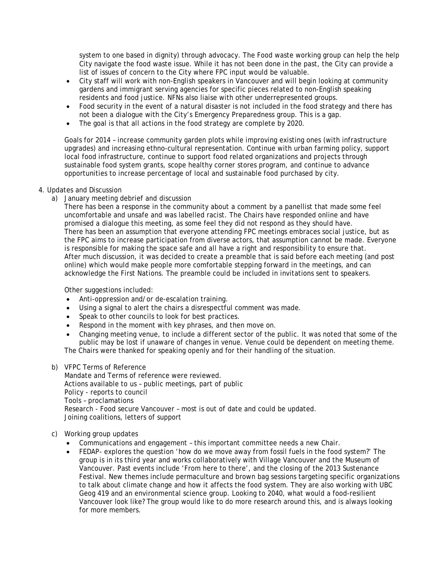system to one based in dignity) through advocacy. The Food waste working group can help the help City navigate the food waste issue. While it has not been done in the past, the City can provide a list of issues of concern to the City where FPC input would be valuable.

- City staff will work with non-English speakers in Vancouver and will begin looking at community gardens and immigrant serving agencies for specific pieces related to non-English speaking residents and food justice. NFNs also liaise with other underrepresented groups.
- Food security in the event of a natural disaster is not included in the food strategy and there has not been a dialogue with the City's Emergency Preparedness group. This is a gap.
- The goal is that all actions in the food strategy are complete by 2020.

Goals for 2014 – increase community garden plots while improving existing ones (with infrastructure upgrades) and increasing ethno-cultural representation. Continue with urban farming policy, support local food infrastructure, continue to support food related organizations and projects through sustainable food system grants, scope healthy corner stores program, and continue to advance opportunities to increase percentage of local and sustainable food purchased by city.

# 4. Updates and Discussion

a) January meeting debrief and discussion

There has been a response in the community about a comment by a panellist that made some feel uncomfortable and unsafe and was labelled racist. The Chairs have responded online and have promised a dialogue this meeting, as some feel they did not respond as they should have. There has been an assumption that everyone attending FPC meetings embraces social justice, but as the FPC aims to increase participation from diverse actors, that assumption cannot be made. Everyone is responsible for making the space safe and all have a right and responsibility to ensure that. After much discussion, it was decided to create a preamble that is said before each meeting (and post online) which would make people more comfortable stepping forward in the meetings, and can acknowledge the First Nations. The preamble could be included in invitations sent to speakers.

Other suggestions included:

- Anti-oppression and/or de-escalation training.
- Using a signal to alert the chairs a disrespectful comment was made.
- Speak to other councils to look for best practices.
- Respond in the moment with key phrases, and then move on.
- Changing meeting venue, to include a different sector of the public. It was noted that some of the public may be lost if unaware of changes in venue. Venue could be dependent on meeting theme. The Chairs were thanked for speaking openly and for their handling of the situation.

# b) VFPC Terms of Reference

Mandate and Terms of reference were reviewed. Actions available to us – public meetings, part of public Policy - reports to council Tools – proclamations Research - Food secure Vancouver – most is out of date and could be updated. Joining coalitions, letters of support

# c) Working group updates

- Communications and engagement this important committee needs a new Chair.
- FEDAP- explores the question 'how do we move away from fossil fuels in the food system?' The group is in its third year and works collaboratively with Village Vancouver and the Museum of Vancouver. Past events include 'From here to there', and the closing of the 2013 Sustenance Festival. New themes include permaculture and brown bag sessions targeting specific organizations to talk about climate change and how it affects the food system. They are also working with UBC Geog 419 and an environmental science group. Looking to 2040, what would a food-resilient Vancouver look like? The group would like to do more research around this, and is always looking for more members.